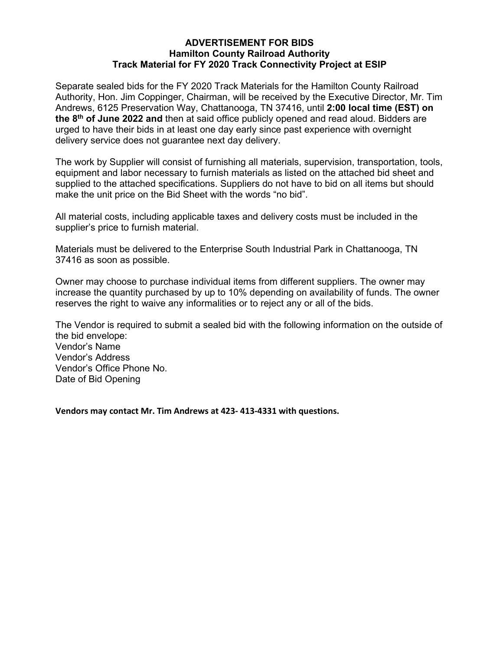# **ADVERTISEMENT FOR BIDS Hamilton County Railroad Authority Track Material for FY 2020 Track Connectivity Project at ESIP**

Separate sealed bids for the FY 2020 Track Materials for the Hamilton County Railroad Authority, Hon. Jim Coppinger, Chairman, will be received by the Executive Director, Mr. Tim Andrews, 6125 Preservation Way, Chattanooga, TN 37416, until **2:00 local time (EST) on the 8th of June 2022 and** then at said office publicly opened and read aloud. Bidders are urged to have their bids in at least one day early since past experience with overnight delivery service does not guarantee next day delivery.

The work by Supplier will consist of furnishing all materials, supervision, transportation, tools, equipment and labor necessary to furnish materials as listed on the attached bid sheet and supplied to the attached specifications. Suppliers do not have to bid on all items but should make the unit price on the Bid Sheet with the words "no bid".

All material costs, including applicable taxes and delivery costs must be included in the supplier's price to furnish material.

Materials must be delivered to the Enterprise South Industrial Park in Chattanooga, TN 37416 as soon as possible.

Owner may choose to purchase individual items from different suppliers. The owner may increase the quantity purchased by up to 10% depending on availability of funds. The owner reserves the right to waive any informalities or to reject any or all of the bids.

The Vendor is required to submit a sealed bid with the following information on the outside of the bid envelope: Vendor's Name Vendor's Address Vendor's Office Phone No. Date of Bid Opening

**Vendors may contact Mr. Tim Andrews at 423- 413-4331 with questions.**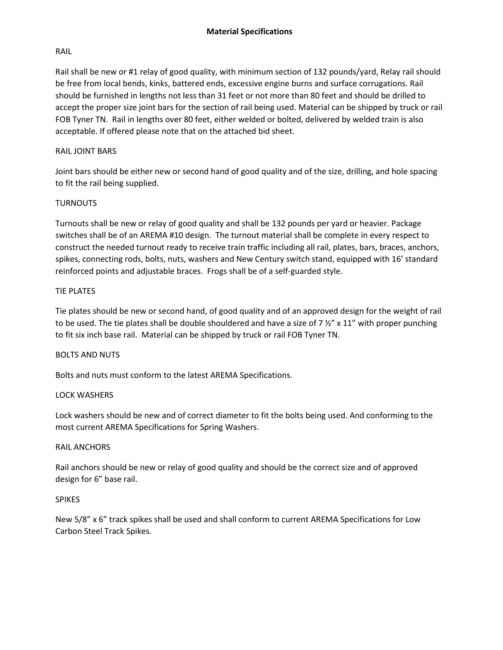# RAIL

Rail shall be new or #1 relay of good quality, with minimum section of 132 pounds/yard, Relay rail should be free from local bends, kinks, battered ends, excessive engine burns and surface corrugations. Rail should be furnished in lengths not less than 31 feet or not more than 80 feet and should be drilled to accept the proper size joint bars for the section of rail being used. Material can be shipped by truck or rail FOB Tyner TN. Rail in lengths over 80 feet, either welded or bolted, delivered by welded train is also acceptable. If offered please note that on the attached bid sheet.

#### RAIL JOINT BARS

Joint bars should be either new or second hand of good quality and of the size, drilling, and hole spacing to fit the rail being supplied.

### TURNOUTS

Turnouts shall be new or relay of good quality and shall be 132 pounds per yard or heavier. Package switches shall be of an AREMA #10 design. The turnout material shall be complete in every respect to construct the needed turnout ready to receive train traffic including all rail, plates, bars, braces, anchors, spikes, connecting rods, bolts, nuts, washers and New Century switch stand, equipped with 16' standard reinforced points and adjustable braces. Frogs shall be of a self-guarded style.

#### TIE PLATES

Tie plates should be new or second hand, of good quality and of an approved design for the weight of rail to be used. The tie plates shall be double shouldered and have a size of 7  $\frac{y''}{x} \times 11''$  with proper punching to fit six inch base rail. Material can be shipped by truck or rail FOB Tyner TN.

#### BOLTS AND NUTS

Bolts and nuts must conform to the latest AREMA Specifications.

#### LOCK WASHERS

Lock washers should be new and of correct diameter to fit the bolts being used. And conforming to the most current AREMA Specifications for Spring Washers.

#### RAIL ANCHORS

Rail anchors should be new or relay of good quality and should be the correct size and of approved design for 6" base rail.

#### SPIKES

New 5/8" x 6" track spikes shall be used and shall conform to current AREMA Specifications for Low Carbon Steel Track Spikes.